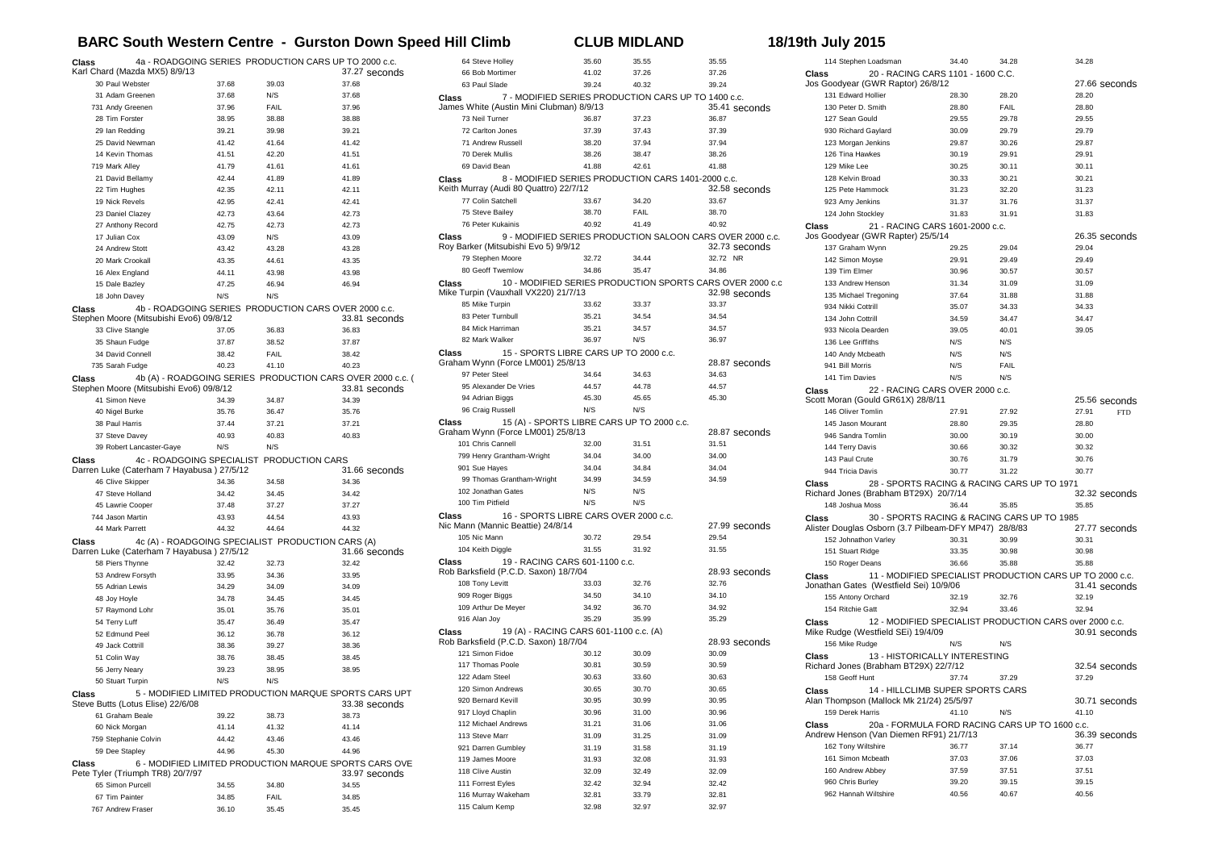## **BARC South Western Centre - Gurston Down Speed Hill Climb CLUB MIDLAND 18/19th July 2015**

| Class                                                           | 4a - ROADGOING SERIES PRODUCTION CARS UP TO 2000 c.c.<br>Karl Chard (Mazda MX5) 8/9/13                |                |                | 37.27 seconds  |  |
|-----------------------------------------------------------------|-------------------------------------------------------------------------------------------------------|----------------|----------------|----------------|--|
|                                                                 | 30 Paul Webster                                                                                       | 37.68          | 39.03          | 37.68          |  |
|                                                                 | 31 Adam Greenen                                                                                       | 37.68          | N/S            | 37.68          |  |
|                                                                 | 731 Andy Greenen                                                                                      | 37.96          | FAIL           | 37.96          |  |
|                                                                 | 28 Tim Forster                                                                                        | 38.95          | 38.88          | 38.88          |  |
|                                                                 | 29 Ian Redding                                                                                        | 39.21          | 39.98          | 39.21          |  |
|                                                                 | 25 David Newman                                                                                       | 41.42          | 41.64          | 41.42          |  |
|                                                                 | 14 Kevin Thomas                                                                                       | 41.51          | 42.20          | 41.51          |  |
|                                                                 | 719 Mark Alley                                                                                        | 41.79          | 41.61          | 41.61          |  |
|                                                                 | 21 David Bellamy                                                                                      | 42.44          | 41.89          | 41.89          |  |
|                                                                 | 22 Tim Hughes                                                                                         | 42.35          | 42.11          | 42.11          |  |
|                                                                 | 19 Nick Revels                                                                                        | 42.95          | 42.41          | 42.41          |  |
|                                                                 | 23 Daniel Clazey                                                                                      | 42.73          | 43.64          | 42.73          |  |
|                                                                 | 27 Anthony Record                                                                                     | 42.75          | 42.73          | 42.73          |  |
|                                                                 | 17 Julian Cox                                                                                         | 43.09          | N/S            | 43.09          |  |
|                                                                 | 24 Andrew Stott                                                                                       | 43.42          | 43.28          | 43.28          |  |
|                                                                 | 20 Mark Crookall                                                                                      | 43.35          | 44.61          | 43.35          |  |
|                                                                 | 16 Alex England                                                                                       | 44.11          | 43.98          | 43.98          |  |
|                                                                 | 15 Dale Bazley                                                                                        | 47.25          | 46.94          | 46.94          |  |
|                                                                 | 18 John Davey                                                                                         | N/S            | N/S            |                |  |
| Class                                                           | 4b - ROADGOING SERIES PRODUCTION CARS OVER 2000 c.c.<br>Stephen Moore (Mitsubishi Evo6) 09/8/12       |                |                | 33.81 seconds  |  |
|                                                                 | 33 Clive Stangle                                                                                      | 37.05          | 36.83          | 36.83          |  |
|                                                                 | 35 Shaun Fudge                                                                                        | 37.87          | 38.52          | 37.87          |  |
|                                                                 | 34 David Connell                                                                                      | 38.42          | FAIL           | 38.42          |  |
|                                                                 | 735 Sarah Fudge                                                                                       | 40.23          | 41.10          | 40.23          |  |
| Class                                                           | 4b (A) - ROADGOING SERIES PRODUCTION CARS OVER 2000 c.c. (<br>Stephen Moore (Mitsubishi Evo6) 09/8/12 |                |                | 33.81 seconds  |  |
|                                                                 | 41 Simon Neve                                                                                         | 34.39          | 34.87          | 34.39          |  |
|                                                                 | 40 Nigel Burke                                                                                        | 35.76          | 36.47          | 35.76          |  |
|                                                                 | 38 Paul Harris                                                                                        | 37.44          | 37.21          | 37.21          |  |
|                                                                 | 37 Steve Davey                                                                                        | 40.93          | 40.83          | 40.83          |  |
|                                                                 | 39 Robert Lancaster-Gaye                                                                              | N/S            | N/S            |                |  |
| Class                                                           | 4c - ROADGOING SPECIALIST PRODUCTION CARS                                                             |                |                |                |  |
|                                                                 | Darren Luke (Caterham 7 Hayabusa) 27/5/12                                                             |                |                | 31.66 seconds  |  |
|                                                                 | 46 Clive Skipper                                                                                      | 34.36          | 34.58          | 34.36          |  |
|                                                                 | 47 Steve Holland                                                                                      | 34.42          | 34.45          | 34.42          |  |
|                                                                 | 45 Lawrie Cooper                                                                                      | 37.48          | 37.27          | 37.27          |  |
|                                                                 | 744 Jason Martin<br>44 Mark Parrett                                                                   | 43.93          | 44.54          | 43.93          |  |
|                                                                 |                                                                                                       | 44.32          | 44.64          | 44.32          |  |
| Class                                                           | 4c (A) - ROADGOING SPECIALIST PRODUCTION CARS (A)<br>Darren Luke (Caterham 7 Hayabusa) 27/5/12        |                |                | 31.66 seconds  |  |
|                                                                 | 58 Piers Thynne                                                                                       | 32.42          | 32.73          | 32.42          |  |
|                                                                 | 53 Andrew Forsyth                                                                                     | 33.95          | 34.36          | 33.95          |  |
|                                                                 | 55 Adrian Lewis                                                                                       | 34.29          | 34.09          | 34.09          |  |
|                                                                 | 48 Joy Hoyle                                                                                          | 34.78          | 34.45          | 34.45          |  |
|                                                                 | 57 Raymond Lohr                                                                                       | 35.01          | 35.76          | 35.01          |  |
|                                                                 | 54 Terry Luff                                                                                         | 35.47          | 36.49          | 35.47          |  |
|                                                                 | 52 Edmund Peel                                                                                        | 36.12          | 36.78          | 36.12          |  |
|                                                                 | 49 Jack Cottrill                                                                                      | 38.36          | 39.27          | 38.36          |  |
|                                                                 | 51 Colin Way                                                                                          | 38.76          | 38.45          | 38.45          |  |
|                                                                 | 56 Jerry Neary                                                                                        | 39.23          | 38.95          | 38.95          |  |
|                                                                 | 50 Stuart Turpin                                                                                      | N/S            | N/S            |                |  |
| Class                                                           | 5 - MODIFIED LIMITED PRODUCTION MARQUE SPORTS CARS UPT                                                |                |                |                |  |
|                                                                 | Steve Butts (Lotus Elise) 22/6/08                                                                     |                |                | 33.38 seconds  |  |
|                                                                 | 61 Graham Beale                                                                                       | 39.22          | 38.73<br>41.32 | 38.73<br>41.14 |  |
|                                                                 | 60 Nick Morgan<br>759 Stephanie Colvin                                                                | 41.14<br>44.42 | 43.46          | 43.46          |  |
|                                                                 | 59 Dee Stapley                                                                                        | 44.96          | 45.30          | 44.96          |  |
| 6 - MODIFIED LIMITED PRODUCTION MARQUE SPORTS CARS OVE<br>Class |                                                                                                       |                |                |                |  |
| Pete Tyler (Triumph TR8) 20/7/97<br>33.97 seconds               |                                                                                                       |                |                |                |  |
|                                                                 | 65 Simon Purcell                                                                                      | 34.55          | 34.80          | 34.55          |  |
|                                                                 | 67 Tim Painter                                                                                        | 34.85          | FAIL           | 34.85          |  |
|                                                                 | 767 Andrew Fraser                                                                                     | 36.10          | 35.45          | 35.45          |  |

| 64 Steve Holley                                                                     | 35.60 | 35.55 | 35.55                                                     |
|-------------------------------------------------------------------------------------|-------|-------|-----------------------------------------------------------|
| 66 Bob Mortimer                                                                     | 41.02 | 37.26 | 37.26                                                     |
| 63 Paul Slade                                                                       | 39.24 | 40.32 | 39.24                                                     |
| 7 - MODIFIED SERIES PRODUCTION CARS UP TO 1400 c.c.<br>Class                        |       |       |                                                           |
| James White (Austin Mini Clubman) 8/9/13                                            |       |       | 35.41 seconds                                             |
| 73 Neil Turner                                                                      | 36.87 | 37.23 | 36.87                                                     |
| 72 Carlton Jones                                                                    | 37.39 | 37.43 | 37.39                                                     |
| 71 Andrew Russell                                                                   | 38.20 | 37.94 | 37.94                                                     |
| 70 Derek Mullis                                                                     | 38.26 | 38.47 | 38.26                                                     |
| 69 David Bean                                                                       | 41.88 | 42.61 | 41.88                                                     |
| 8 - MODIFIED SERIES PRODUCTION CARS 1401-2000 c.c.<br>Class                         |       |       |                                                           |
| Keith Murray (Audi 80 Quattro) 22/7/12                                              |       |       | 32.58 seconds                                             |
| 77 Colin Satchell                                                                   | 33.67 | 34.20 | 33.67                                                     |
| 75 Steve Bailey                                                                     | 38.70 | FAIL  | 38.70                                                     |
| 76 Peter Kukainis                                                                   | 40.92 | 41.49 | 40.92                                                     |
| Class                                                                               |       |       | 9 - MODIFIED SERIES PRODUCTION SALOON CARS OVER 2000 c.c. |
| Roy Barker (Mitsubishi Evo 5) 9/9/12                                                |       |       | 32.73 seconds                                             |
| 79 Stephen Moore                                                                    | 32.72 | 34.44 | 32.72 NR                                                  |
| 80 Geoff Twemlow                                                                    | 34.86 | 35.47 | 34.86                                                     |
| Class                                                                               |       |       | 10 - MODIFIED SERIES PRODUCTION SPORTS CARS OVER 2000 c.o |
| Mike Turpin (Vauxhall VX220) 21/7/13                                                |       |       | 32.98 seconds                                             |
| 85 Mike Turpin                                                                      | 33.62 | 33.37 | 33.37                                                     |
| 83 Peter Turnbull                                                                   | 35.21 | 34.54 | 34.54                                                     |
| 84 Mick Harriman                                                                    | 35.21 | 34.57 | 34.57                                                     |
| 82 Mark Walker                                                                      | 36.97 | N/S   | 36.97                                                     |
| 15 - SPORTS LIBRE CARS UP TO 2000 c.c.<br>Class                                     |       |       |                                                           |
| Graham Wynn (Force LM001) 25/8/13                                                   |       |       | 28.87 seconds                                             |
| 97 Peter Steel                                                                      | 34.64 | 34.63 | 34.63                                                     |
| 95 Alexander De Vries                                                               | 44.57 | 44.78 | 44.57                                                     |
| 94 Adrian Biggs                                                                     | 45.30 | 45.65 | 45.30                                                     |
| 96 Craig Russell                                                                    | N/S   | N/S   |                                                           |
| 15 (A) - SPORTS LIBRE CARS UP TO 2000 c.c.<br>Class                                 |       |       |                                                           |
| Graham Wynn (Force LM001) 25/8/13                                                   |       |       | 28.87 seconds                                             |
| 101 Chris Cannell                                                                   | 32.00 | 31.51 | 31.51                                                     |
| 799 Henry Grantham-Wright                                                           | 34.04 | 34.00 | 34.00                                                     |
| 901 Sue Hayes                                                                       | 34.04 | 34.84 | 34.04                                                     |
| 99 Thomas Grantham-Wright                                                           | 34.99 | 34.59 | 34.59                                                     |
| 102 Jonathan Gates                                                                  | N/S   | N/S   |                                                           |
| 100 Tim Pitfield                                                                    | N/S   | N/S   |                                                           |
|                                                                                     |       |       |                                                           |
| 16 - SPORTS LIBRE CARS OVER 2000 c.c.<br>Class<br>Nic Mann (Mannic Beattie) 24/8/14 |       |       | 27.99 seconds                                             |
| 105 Nic Mann                                                                        | 30.72 | 29.54 | 29.54                                                     |
|                                                                                     |       |       |                                                           |
| 104 Keith Diggle                                                                    | 31.55 | 31.92 | 31.55                                                     |
| 19 - RACING CARS 601-1100 c.c.<br>Class<br>Rob Barksfield (P.C.D. Saxon) 18/7/04    |       |       |                                                           |
| 108 Tony Levitt                                                                     | 33.03 | 32.76 | 28.93 seconds<br>32.76                                    |
|                                                                                     | 34.50 | 34.10 |                                                           |
| 909 Roger Biggs                                                                     |       | 36.70 | 34.10                                                     |
| 109 Arthur De Meyer                                                                 | 34.92 |       | 34.92                                                     |
| 916 Alan Joy                                                                        | 35.29 | 35.99 | 35.29                                                     |
| 19 (A) - RACING CARS 601-1100 c.c. (A)<br>Class                                     |       |       |                                                           |
| Rob Barksfield (P.C.D. Saxon) 18/7/04<br>121 Simon Fidoe                            | 30.12 | 30.09 | 28.93 seconds<br>30.09                                    |
|                                                                                     |       |       |                                                           |
| 117 Thomas Poole                                                                    | 30.81 | 30.59 | 30.59                                                     |
| 122 Adam Steel                                                                      | 30.63 | 33.60 | 30.63                                                     |
| 120 Simon Andrews                                                                   | 30.65 | 30.70 | 30.65                                                     |
| 920 Bernard Kevill                                                                  | 30.95 | 30.99 | 30.95                                                     |
| 917 Lloyd Chaplin                                                                   | 30.96 | 31.00 | 30.96                                                     |
| 112 Michael Andrews                                                                 | 31.21 | 31.06 | 31.06                                                     |
| 113 Steve Marr                                                                      | 31.09 | 31.25 | 31.09                                                     |
| 921 Darren Gumbley                                                                  | 31.19 | 31.58 | 31.19                                                     |
| 119 James Moore                                                                     | 31.93 | 32.08 | 31.93                                                     |
| 118 Clive Austin                                                                    | 32.09 | 32.49 | 32.09                                                     |
| 111 Forrest Eyles                                                                   | 32.42 | 32.94 | 32.42                                                     |
| 116 Murray Wakeham                                                                  | 32.81 | 33.79 | 32.81                                                     |
| 115 Calum Kemp                                                                      | 32.98 | 32.97 | 32.97                                                     |

| 114 Stephen Loadsman                                                          | 34.40          | 34.28                                                    | 34.28                                |  |  |
|-------------------------------------------------------------------------------|----------------|----------------------------------------------------------|--------------------------------------|--|--|
| 20 - RACING CARS 1101 - 1600 C.C.<br>Class                                    |                |                                                          |                                      |  |  |
| Jos Goodyear (GWR Raptor) 26/8/12                                             |                |                                                          | 27.66 seconds                        |  |  |
| 131 Edward Hollier                                                            | 28.30          | 28.20                                                    | 28.20                                |  |  |
| 130 Peter D. Smith<br>127 Sean Gould                                          | 28.80<br>29.55 | FAIL<br>29.78                                            | 28.80<br>29.55                       |  |  |
| 930 Richard Gaylard                                                           | 30.09          | 29.79                                                    | 29.79                                |  |  |
| 123 Morgan Jenkins                                                            | 29.87          | 30.26                                                    | 29.87                                |  |  |
| 126 Tina Hawkes                                                               | 30.19          | 29.91                                                    | 29.91                                |  |  |
| 129 Mike Lee                                                                  | 30.25          | 30.11                                                    | 30.11                                |  |  |
| 128 Kelvin Broad                                                              | 30.33          | 30.21                                                    | 30.21                                |  |  |
| 125 Pete Hammock                                                              | 31.23          | 32.20                                                    | 31.23                                |  |  |
| 923 Amy Jenkins                                                               | 31.37          | 31.76                                                    | 31.37                                |  |  |
| 124 John Stockley                                                             | 31.83          | 31.91                                                    | 31.83                                |  |  |
| Class<br>21 - RACING CARS 1601-2000 c.c.                                      |                |                                                          |                                      |  |  |
| Jos Goodyear (GWR Rapter) 25/5/14                                             |                |                                                          | 26.35 seconds                        |  |  |
| 137 Graham Wynn                                                               | 29.25          | 29.04                                                    | 29.04                                |  |  |
| 142 Simon Moyse                                                               | 29.91          | 29.49                                                    | 29.49                                |  |  |
| 139 Tim Elmer                                                                 | 30.96          | 30.57                                                    | 30.57                                |  |  |
| 133 Andrew Henson                                                             | 31.34          | 31.09                                                    | 31.09                                |  |  |
| 135 Michael Tregoning                                                         | 37.64          | 31.88                                                    | 31.88                                |  |  |
| 934 Nikki Cottrill                                                            | 35.07          | 34.33                                                    | 34.33                                |  |  |
| 134 John Cottrill                                                             | 34.59          | 34.47                                                    | 34.47                                |  |  |
| 933 Nicola Dearden                                                            | 39.05          | 40.01                                                    | 39.05                                |  |  |
| 136 Lee Griffiths                                                             | N/S            | N/S                                                      |                                      |  |  |
| 140 Andy Mcbeath                                                              | N/S            | N/S                                                      |                                      |  |  |
| 941 Bill Morris                                                               | N/S            | FAIL                                                     |                                      |  |  |
| 141 Tim Davies                                                                | N/S            | N/S                                                      |                                      |  |  |
| 22 - RACING CARS OVER 2000 c.c.<br>Class<br>Scott Moran (Gould GR61X) 28/8/11 |                |                                                          |                                      |  |  |
| 146 Oliver Tomlin                                                             | 27.91          | 27.92                                                    | 25.56 seconds<br>27.91<br><b>FTD</b> |  |  |
| 145 Jason Mourant                                                             | 28.80          | 29.35                                                    | 28.80                                |  |  |
| 946 Sandra Tomlin                                                             | 30.00          | 30.19                                                    | 30.00                                |  |  |
| 144 Terry Davis                                                               | 30.66          | 30.32                                                    | 30.32                                |  |  |
| 143 Paul Crute                                                                | 30.76          | 31.79                                                    | 30.76                                |  |  |
| 944 Tricia Davis                                                              | 30.77          | 31.22                                                    | 30.77                                |  |  |
| 28 - SPORTS RACING & RACING CARS UP TO 1971<br>Class                          |                |                                                          |                                      |  |  |
| Richard Jones (Brabham BT29X) 20/7/14                                         |                |                                                          | 32.32 seconds                        |  |  |
| 148 Joshua Moss                                                               | 36.44          | 35.85                                                    | 35.85                                |  |  |
| Class                                                                         |                | 30 - SPORTS RACING & RACING CARS UP TO 1985              |                                      |  |  |
| Alister Douglas Osborn (3.7 Pilbeam-DFY MP47) 28/8/83                         |                |                                                          | 27.77 seconds                        |  |  |
| 152 Johnathon Varley                                                          | 30.31          | 30.99                                                    | 30.31                                |  |  |
| 151 Stuart Ridge                                                              | 33.35          | 30.98                                                    | 30.98                                |  |  |
| 150 Roger Deans                                                               | 36.66          | 35.88                                                    | 35.88                                |  |  |
| Class                                                                         |                | 11 - MODIFIED SPECIALIST PRODUCTION CARS UP TO 2000 c.c. |                                      |  |  |
| Jonathan Gates (Westfield Sei) 10/9/06                                        |                |                                                          | 31.41 seconds                        |  |  |
| 155 Antony Orchard                                                            | 32.19          | 32.76                                                    | 32.19                                |  |  |
| 154 Ritchie Gatt                                                              | 32.94          | 33.46                                                    | 32.94                                |  |  |
| Class                                                                         |                | 12 - MODIFIED SPECIALIST PRODUCTION CARS over 2000 c.c.  |                                      |  |  |
| Mike Rudge (Westfield SEi) 19/4/09<br>156 Mike Rudge                          | N/S            | N/S                                                      | 30.91 seconds                        |  |  |
| 13 - HISTORICALLY INTERESTING                                                 |                |                                                          |                                      |  |  |
| Class<br>Richard Jones (Brabham BT29X) 22/7/12                                |                |                                                          | 32.54 seconds                        |  |  |
| 158 Geoff Hunt                                                                | 37.74          | 37.29                                                    | 37.29                                |  |  |
| 14 - HILLCLIMB SUPER SPORTS CARS<br>Class                                     |                |                                                          |                                      |  |  |
| Alan Thompson (Mallock Mk 21/24) 25/5/97                                      |                |                                                          | 30.71 seconds                        |  |  |
| 159 Derek Harris                                                              | 41.10          | N/S                                                      | 41.10                                |  |  |
| 20a - FORMULA FORD RACING CARS UP TO 1600 c.c.<br>Class                       |                |                                                          |                                      |  |  |
| Andrew Henson (Van Diemen RF91) 21/7/13<br>36.39 seconds                      |                |                                                          |                                      |  |  |
| 162 Tony Wiltshire                                                            | 36.77          | 37.14                                                    | 36.77                                |  |  |
| 161 Simon Mcbeath                                                             |                |                                                          |                                      |  |  |
|                                                                               | 37.03          | 37.06                                                    | 37.03                                |  |  |
| 160 Andrew Abbey                                                              | 37.59          | 37.51                                                    | 37.51                                |  |  |
| 960 Chris Burley<br>962 Hannah Wiltshire                                      | 39.20<br>40.56 | 39.15                                                    | 39.15                                |  |  |